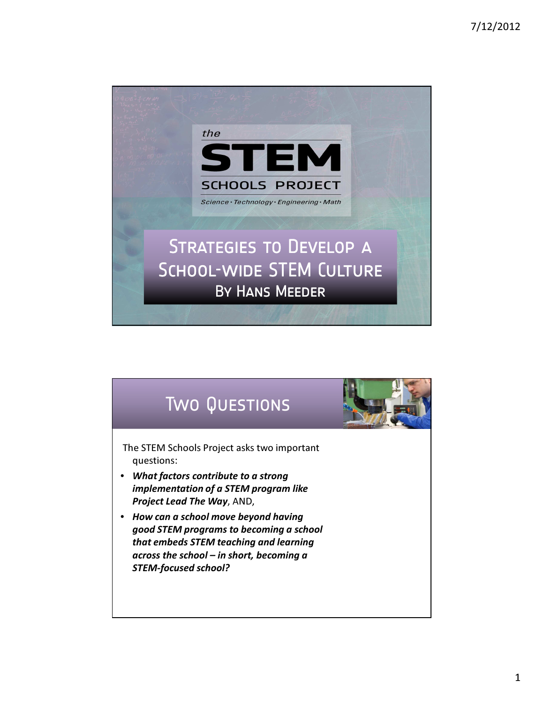

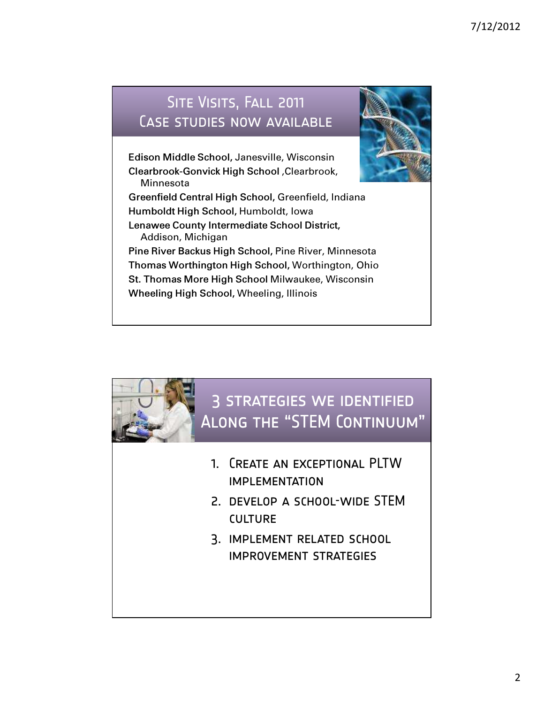### SITE VISITS, FALL 2011 Case studies now available



Edison Middle School, Janesville, Wisconsin Clearbrook-Gonvick High School ,Clearbrook, Minnesota

Greenfield Central High School, Greenfield, Indiana Humboldt High School, Humboldt, Iowa Lenawee County Intermediate School District, Addison, Michigan

Pine River Backus High School, Pine River, Minnesota Thomas Worthington High School, Worthington, Ohio St. Thomas More High School Milwaukee, Wisconsin Wheeling High School, Wheeling, Illinois

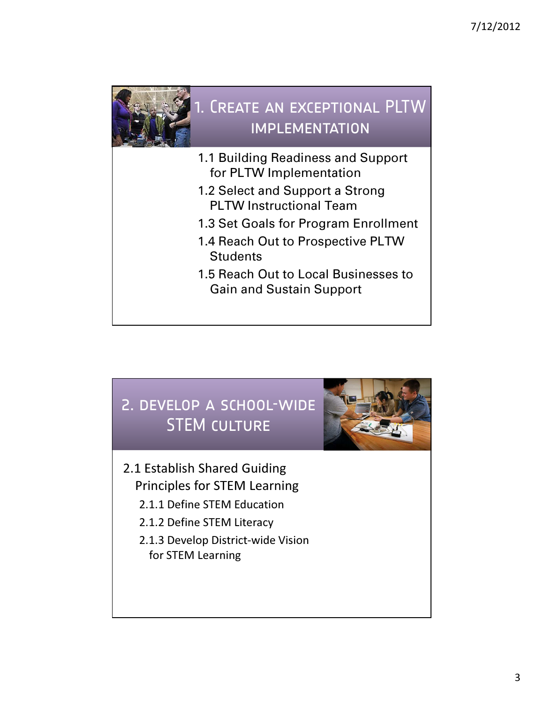

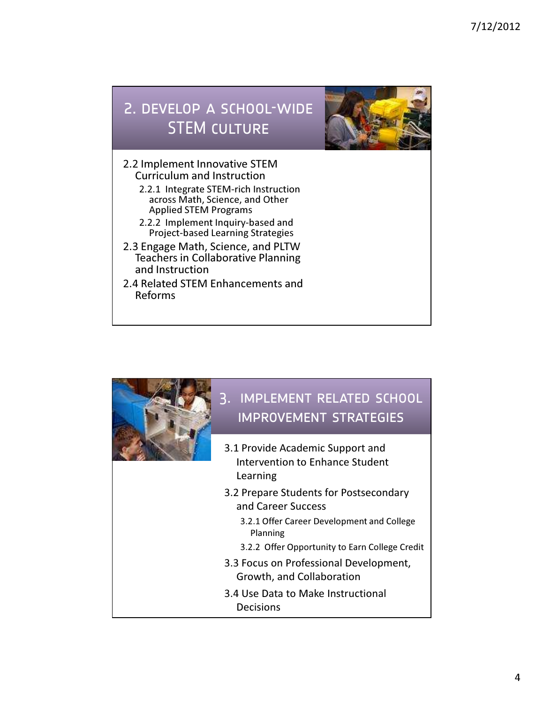# 2. develop a school-wide **STEM CULTURE**



- 2.2 Implement Innovative STEM Curriculum and Instruction
	- 2.2.1 Integrate STEM-rich Instruction across Math, Science, and Other Applied STEM Programs
	- 2.2.2 Implement Inquiry-based and Project-based Learning Strategies
- 2.3 Engage Math, Science, and PLTW Teachers in Collaborative Planning and Instruction
- 2.4 Related STEM Enhancements and Reforms

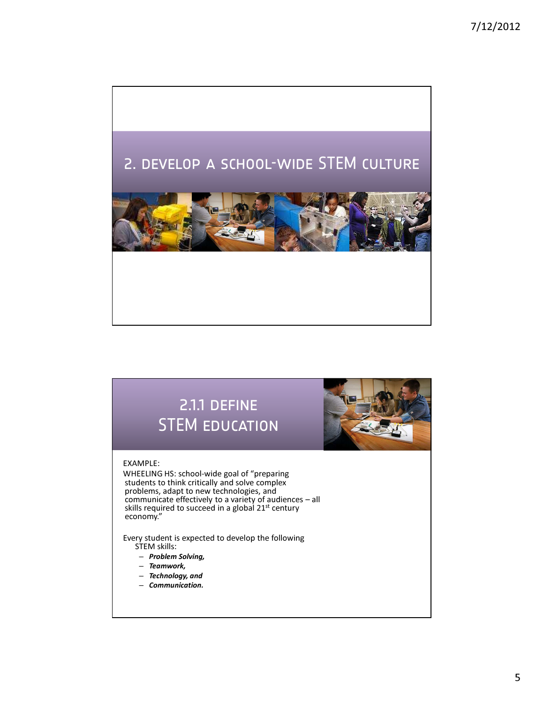

# 2.1.1 DEFINE STEM education

#### EXAMPLE:

WHEELING HS: school-wide goal of "preparing students to think critically and solve complex problems, adapt to new technologies, and communicate effectively to a variety of audiences – all skills required to succeed in a global 21st century economy."

Every student is expected to develop the following STEM skills:

- Problem Solving,
- Teamwork,
- Technology, and
- Communication.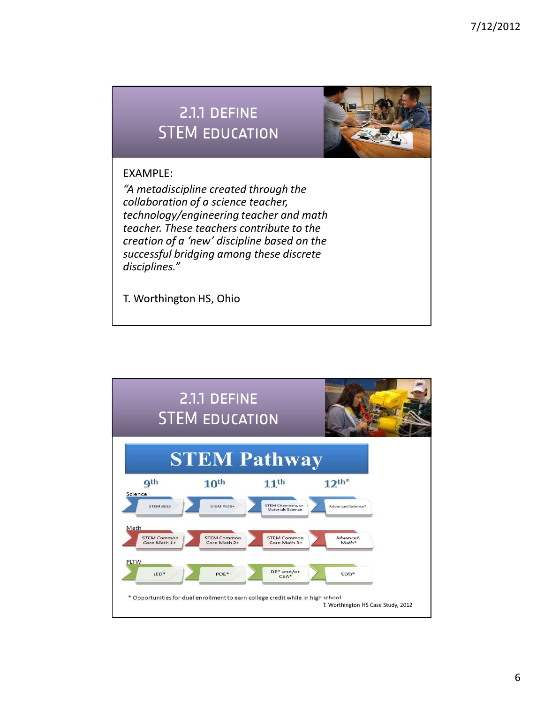### 2.1.1 DEFINE STEM education



### EXAMPLE:

"A metadiscipline created through the collaboration of a science teacher, technology/engineering teacher and math teacher. These teachers contribute to the creation of a 'new' discipline based on the successful bridging among these discrete disciplines."

T. Worthington HS, Ohio

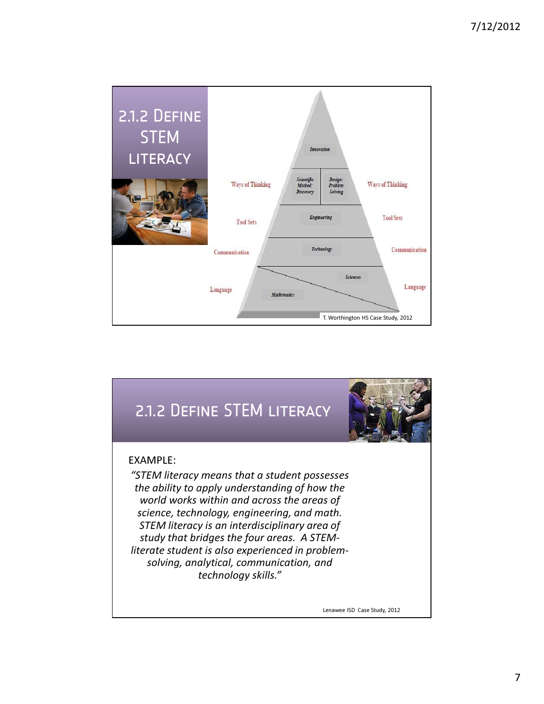



Lenawee ISD Case Study, 2012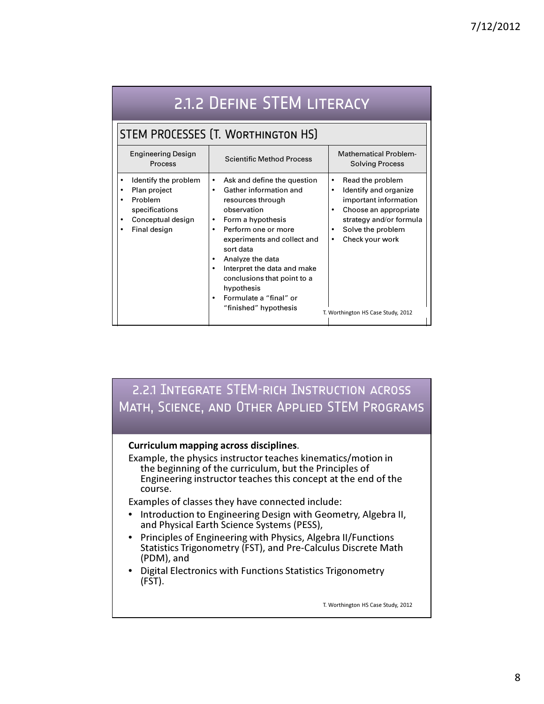| 2.1.2 DEFINE STEM LITERACY                                                                             |                                                                                                                                                                                                                                                                                                                                                                                                                                 |                                                                                                                                                                                                                                                       |
|--------------------------------------------------------------------------------------------------------|---------------------------------------------------------------------------------------------------------------------------------------------------------------------------------------------------------------------------------------------------------------------------------------------------------------------------------------------------------------------------------------------------------------------------------|-------------------------------------------------------------------------------------------------------------------------------------------------------------------------------------------------------------------------------------------------------|
| STEM PROCESSES (T. WORTHINGTON HS)                                                                     |                                                                                                                                                                                                                                                                                                                                                                                                                                 |                                                                                                                                                                                                                                                       |
| Engineering Design<br>Process                                                                          | <b>Scientific Method Process</b>                                                                                                                                                                                                                                                                                                                                                                                                | <b>Mathematical Problem-</b><br><b>Solving Process</b>                                                                                                                                                                                                |
| Identify the problem<br>Plan project<br>Problem<br>specifications<br>Conceptual design<br>Final design | Ask and define the question<br>$\bullet$<br>Gather information and<br>$\bullet$<br>resources through<br>observation<br>Form a hypothesis<br>$\bullet$<br>Perform one or more<br>$\bullet$<br>experiments and collect and<br>sort data<br>Analyze the data<br>$\bullet$<br>Interpret the data and make<br>$\bullet$<br>conclusions that point to a<br>hypothesis<br>Formulate a "final" or<br>$\bullet$<br>"finished" hypothesis | Read the problem<br>$\bullet$<br>Identify and organize<br>$\bullet$<br>important information<br>Choose an appropriate<br>$\bullet$<br>strategy and/or formula<br>Solve the problem<br>٠<br>Check your work<br>٠<br>T. Worthington HS Case Study, 2012 |

### 2.2.1 Integrate STEM-rich Instruction across Math, Science, and Other Applied STEM Programs

### Curriculum mapping across disciplines.

Example, the physics instructor teaches kinematics/motion in the beginning of the curriculum, but the Principles of Engineering instructor teaches this concept at the end of the course.

Examples of classes they have connected include:

- Introduction to Engineering Design with Geometry, Algebra II, and Physical Earth Science Systems (PESS),
- Principles of Engineering with Physics, Algebra II/Functions Statistics Trigonometry (FST), and Pre-Calculus Discrete Math (PDM), and
- Digital Electronics with Functions Statistics Trigonometry  $(FST)$ .

T. Worthington HS Case Study, 2012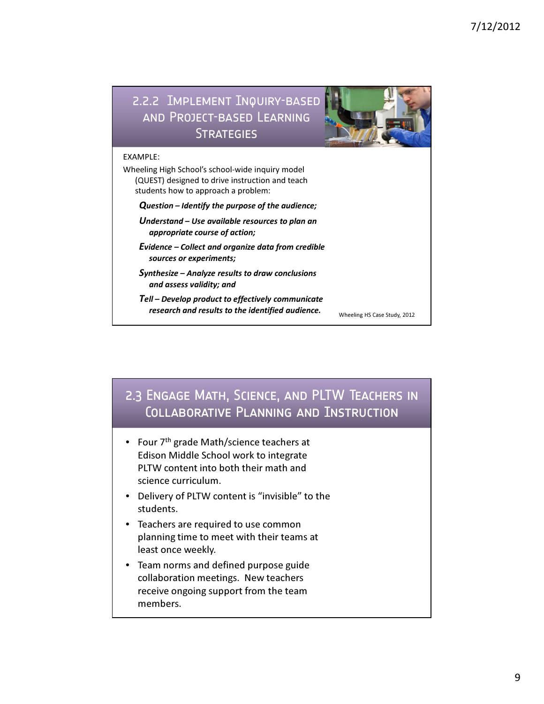



members.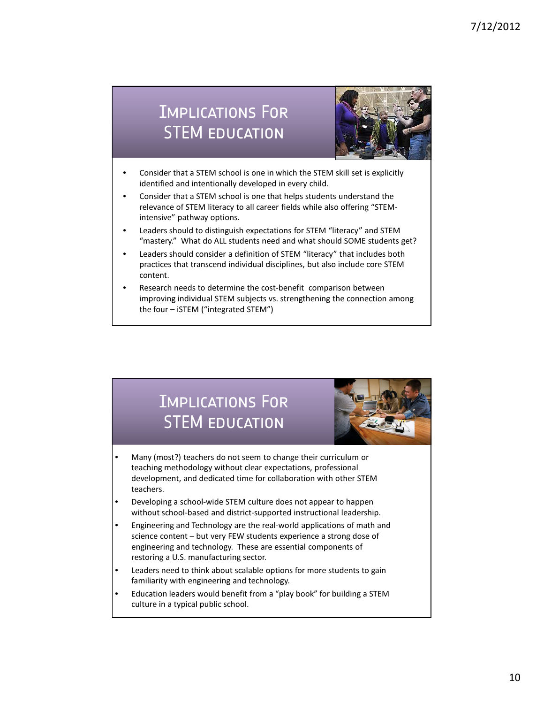# Implications For STEM education



- Consider that a STEM school is one in which the STEM skill set is explicitly identified and intentionally developed in every child.
- Consider that a STEM school is one that helps students understand the relevance of STEM literacy to all career fields while also offering "STEMintensive" pathway options.
- Leaders should to distinguish expectations for STEM "literacy" and STEM "mastery." What do ALL students need and what should SOME students get?
- Leaders should consider a definition of STEM "literacy" that includes both practices that transcend individual disciplines, but also include core STEM content.
- Research needs to determine the cost-benefit comparison between improving individual STEM subjects vs. strengthening the connection among the four – iSTEM ("integrated STEM")

# Implications For STEM education



- Many (most?) teachers do not seem to change their curriculum or teaching methodology without clear expectations, professional development, and dedicated time for collaboration with other STEM teachers.
- Developing a school-wide STEM culture does not appear to happen without school-based and district-supported instructional leadership.
- Engineering and Technology are the real-world applications of math and science content – but very FEW students experience a strong dose of engineering and technology. These are essential components of restoring a U.S. manufacturing sector.
- Leaders need to think about scalable options for more students to gain familiarity with engineering and technology.
- Education leaders would benefit from a "play book" for building a STEM culture in a typical public school.